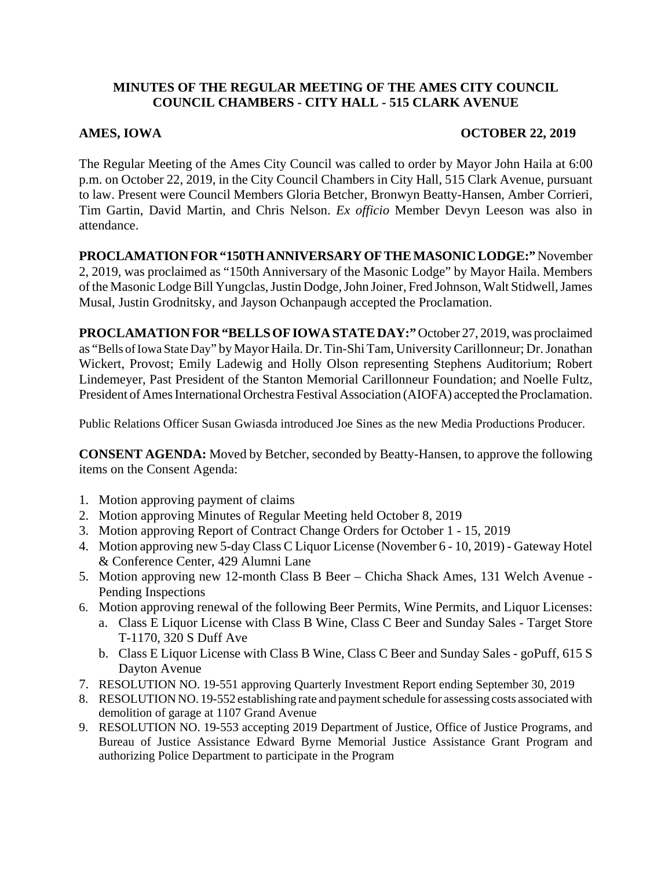# **MINUTES OF THE REGULAR MEETING OF THE AMES CITY COUNCIL COUNCIL CHAMBERS - CITY HALL - 515 CLARK AVENUE**

## **AMES, IOWA OCTOBER 22, 2019**

The Regular Meeting of the Ames City Council was called to order by Mayor John Haila at 6:00 p.m. on October 22, 2019, in the City Council Chambers in City Hall, 515 Clark Avenue, pursuant to law. Present were Council Members Gloria Betcher, Bronwyn Beatty-Hansen, Amber Corrieri, Tim Gartin, David Martin, and Chris Nelson. *Ex officio* Member Devyn Leeson was also in attendance.

**PROCLAMATION FOR "150TH ANNIVERSARY OF THE MASONIC LODGE:"** November 2, 2019, was proclaimed as "150th Anniversary of the Masonic Lodge" by Mayor Haila. Members of the Masonic Lodge Bill Yungclas, Justin Dodge, John Joiner, Fred Johnson, Walt Stidwell, James Musal, Justin Grodnitsky, and Jayson Ochanpaugh accepted the Proclamation.

**PROCLAMATION FOR "BELLS OF IOWA STATE DAY:"** October 27, 2019, was proclaimed as "Bells of Iowa State Day" by Mayor Haila. Dr. Tin-Shi Tam, University Carillonneur; Dr. Jonathan Wickert, Provost; Emily Ladewig and Holly Olson representing Stephens Auditorium; Robert Lindemeyer, Past President of the Stanton Memorial Carillonneur Foundation; and Noelle Fultz, President of Ames International Orchestra Festival Association (AIOFA) accepted the Proclamation.

Public Relations Officer Susan Gwiasda introduced Joe Sines as the new Media Productions Producer.

**CONSENT AGENDA:** Moved by Betcher, seconded by Beatty-Hansen, to approve the following items on the Consent Agenda:

- 1. Motion approving payment of claims
- 2. Motion approving Minutes of Regular Meeting held October 8, 2019
- 3. Motion approving Report of Contract Change Orders for October 1 15, 2019
- 4. Motion approving new 5-day Class C Liquor License (November 6 10, 2019) Gateway Hotel & Conference Center, 429 Alumni Lane
- 5. Motion approving new 12-month Class B Beer Chicha Shack Ames, 131 Welch Avenue Pending Inspections
- 6. Motion approving renewal of the following Beer Permits, Wine Permits, and Liquor Licenses:
	- a. Class E Liquor License with Class B Wine, Class C Beer and Sunday Sales Target Store T-1170, 320 S Duff Ave
	- b. Class E Liquor License with Class B Wine, Class C Beer and Sunday Sales goPuff, 615 S Dayton Avenue
- 7. RESOLUTION NO. 19-551 approving Quarterly Investment Report ending September 30, 2019
- 8. RESOLUTION NO. 19-552 establishing rate and payment schedule for assessing costs associated with demolition of garage at 1107 Grand Avenue
- 9. RESOLUTION NO. 19-553 accepting 2019 Department of Justice, Office of Justice Programs, and Bureau of Justice Assistance Edward Byrne Memorial Justice Assistance Grant Program and authorizing Police Department to participate in the Program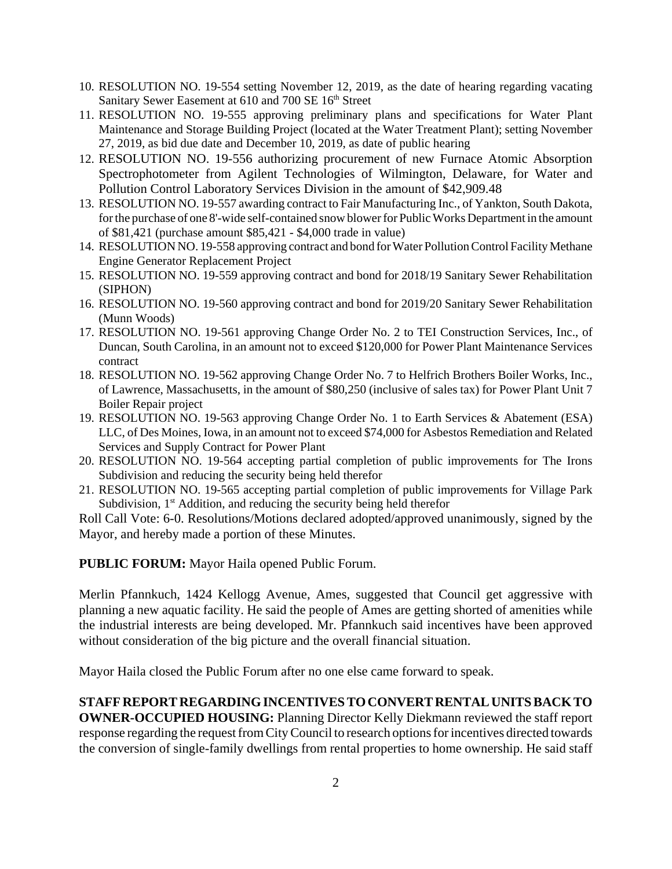- 10. RESOLUTION NO. 19-554 setting November 12, 2019, as the date of hearing regarding vacating Sanitary Sewer Easement at 610 and 700 SE 16<sup>th</sup> Street
- 11. RESOLUTION NO. 19-555 approving preliminary plans and specifications for Water Plant Maintenance and Storage Building Project (located at the Water Treatment Plant); setting November 27, 2019, as bid due date and December 10, 2019, as date of public hearing
- 12. RESOLUTION NO. 19-556 authorizing procurement of new Furnace Atomic Absorption Spectrophotometer from Agilent Technologies of Wilmington, Delaware, for Water and Pollution Control Laboratory Services Division in the amount of \$42,909.48
- 13. RESOLUTION NO. 19-557 awarding contract to Fair Manufacturing Inc., of Yankton, South Dakota, for the purchase of one 8'-wide self-contained snow blower for Public Works Department in the amount of \$81,421 (purchase amount \$85,421 - \$4,000 trade in value)
- 14. RESOLUTION NO. 19-558 approving contract and bond for Water Pollution Control Facility Methane Engine Generator Replacement Project
- 15. RESOLUTION NO. 19-559 approving contract and bond for 2018/19 Sanitary Sewer Rehabilitation (SIPHON)
- 16. RESOLUTION NO. 19-560 approving contract and bond for 2019/20 Sanitary Sewer Rehabilitation (Munn Woods)
- 17. RESOLUTION NO. 19-561 approving Change Order No. 2 to TEI Construction Services, Inc., of Duncan, South Carolina, in an amount not to exceed \$120,000 for Power Plant Maintenance Services contract
- 18. RESOLUTION NO. 19-562 approving Change Order No. 7 to Helfrich Brothers Boiler Works, Inc., of Lawrence, Massachusetts, in the amount of \$80,250 (inclusive of sales tax) for Power Plant Unit 7 Boiler Repair project
- 19. RESOLUTION NO. 19-563 approving Change Order No. 1 to Earth Services & Abatement (ESA) LLC, of Des Moines, Iowa, in an amount not to exceed \$74,000 for Asbestos Remediation and Related Services and Supply Contract for Power Plant
- 20. RESOLUTION NO. 19-564 accepting partial completion of public improvements for The Irons Subdivision and reducing the security being held therefor
- 21. RESOLUTION NO. 19-565 accepting partial completion of public improvements for Village Park Subdivision, 1<sup>st</sup> Addition, and reducing the security being held therefor

Roll Call Vote: 6-0. Resolutions/Motions declared adopted/approved unanimously, signed by the Mayor, and hereby made a portion of these Minutes.

**PUBLIC FORUM:** Mayor Haila opened Public Forum.

Merlin Pfannkuch, 1424 Kellogg Avenue, Ames, suggested that Council get aggressive with planning a new aquatic facility. He said the people of Ames are getting shorted of amenities while the industrial interests are being developed. Mr. Pfannkuch said incentives have been approved without consideration of the big picture and the overall financial situation.

Mayor Haila closed the Public Forum after no one else came forward to speak.

## **STAFF REPORT REGARDING INCENTIVES TO CONVERT RENTAL UNITS BACK TO**

**OWNER-OCCUPIED HOUSING:** Planning Director Kelly Diekmann reviewed the staff report response regarding the request from City Council to research options for incentives directed towards the conversion of single-family dwellings from rental properties to home ownership. He said staff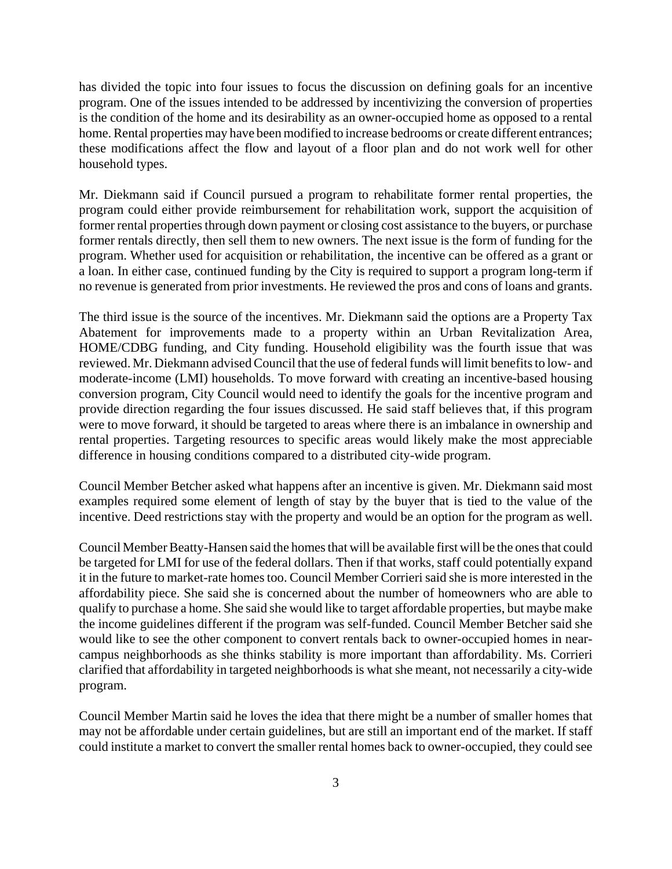has divided the topic into four issues to focus the discussion on defining goals for an incentive program. One of the issues intended to be addressed by incentivizing the conversion of properties is the condition of the home and its desirability as an owner-occupied home as opposed to a rental home. Rental properties may have been modified to increase bedrooms or create different entrances; these modifications affect the flow and layout of a floor plan and do not work well for other household types.

Mr. Diekmann said if Council pursued a program to rehabilitate former rental properties, the program could either provide reimbursement for rehabilitation work, support the acquisition of former rental properties through down payment or closing cost assistance to the buyers, or purchase former rentals directly, then sell them to new owners. The next issue is the form of funding for the program. Whether used for acquisition or rehabilitation, the incentive can be offered as a grant or a loan. In either case, continued funding by the City is required to support a program long-term if no revenue is generated from prior investments. He reviewed the pros and cons of loans and grants.

The third issue is the source of the incentives. Mr. Diekmann said the options are a Property Tax Abatement for improvements made to a property within an Urban Revitalization Area, HOME/CDBG funding, and City funding. Household eligibility was the fourth issue that was reviewed. Mr. Diekmann advised Council that the use of federal funds will limit benefits to low- and moderate-income (LMI) households. To move forward with creating an incentive-based housing conversion program, City Council would need to identify the goals for the incentive program and provide direction regarding the four issues discussed. He said staff believes that, if this program were to move forward, it should be targeted to areas where there is an imbalance in ownership and rental properties. Targeting resources to specific areas would likely make the most appreciable difference in housing conditions compared to a distributed city-wide program.

Council Member Betcher asked what happens after an incentive is given. Mr. Diekmann said most examples required some element of length of stay by the buyer that is tied to the value of the incentive. Deed restrictions stay with the property and would be an option for the program as well.

Council Member Beatty-Hansen said the homes that will be available first will be the ones that could be targeted for LMI for use of the federal dollars. Then if that works, staff could potentially expand it in the future to market-rate homes too. Council Member Corrieri said she is more interested in the affordability piece. She said she is concerned about the number of homeowners who are able to qualify to purchase a home. She said she would like to target affordable properties, but maybe make the income guidelines different if the program was self-funded. Council Member Betcher said she would like to see the other component to convert rentals back to owner-occupied homes in nearcampus neighborhoods as she thinks stability is more important than affordability. Ms. Corrieri clarified that affordability in targeted neighborhoods is what she meant, not necessarily a city-wide program.

Council Member Martin said he loves the idea that there might be a number of smaller homes that may not be affordable under certain guidelines, but are still an important end of the market. If staff could institute a market to convert the smaller rental homes back to owner-occupied, they could see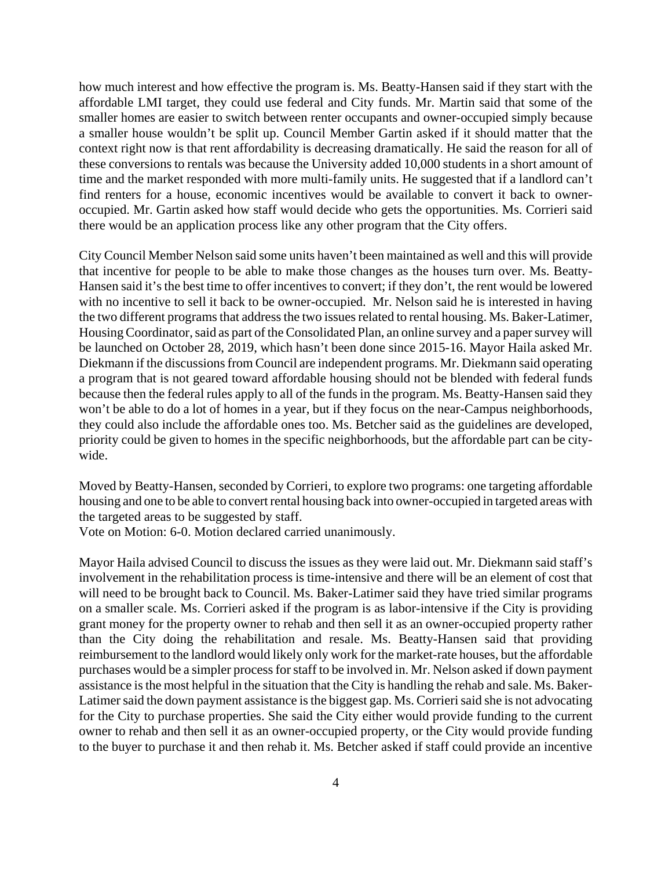how much interest and how effective the program is. Ms. Beatty-Hansen said if they start with the affordable LMI target, they could use federal and City funds. Mr. Martin said that some of the smaller homes are easier to switch between renter occupants and owner-occupied simply because a smaller house wouldn't be split up. Council Member Gartin asked if it should matter that the context right now is that rent affordability is decreasing dramatically. He said the reason for all of these conversions to rentals was because the University added 10,000 students in a short amount of time and the market responded with more multi-family units. He suggested that if a landlord can't find renters for a house, economic incentives would be available to convert it back to owneroccupied. Mr. Gartin asked how staff would decide who gets the opportunities. Ms. Corrieri said there would be an application process like any other program that the City offers.

City Council Member Nelson said some units haven't been maintained as well and this will provide that incentive for people to be able to make those changes as the houses turn over. Ms. Beatty-Hansen said it's the best time to offer incentives to convert; if they don't, the rent would be lowered with no incentive to sell it back to be owner-occupied. Mr. Nelson said he is interested in having the two different programs that address the two issues related to rental housing. Ms. Baker-Latimer, Housing Coordinator, said as part of the Consolidated Plan, an online survey and a paper survey will be launched on October 28, 2019, which hasn't been done since 2015-16. Mayor Haila asked Mr. Diekmann if the discussions from Council are independent programs. Mr. Diekmann said operating a program that is not geared toward affordable housing should not be blended with federal funds because then the federal rules apply to all of the funds in the program. Ms. Beatty-Hansen said they won't be able to do a lot of homes in a year, but if they focus on the near-Campus neighborhoods, they could also include the affordable ones too. Ms. Betcher said as the guidelines are developed, priority could be given to homes in the specific neighborhoods, but the affordable part can be citywide.

Moved by Beatty-Hansen, seconded by Corrieri, to explore two programs: one targeting affordable housing and one to be able to convert rental housing back into owner-occupied in targeted areas with the targeted areas to be suggested by staff.

Vote on Motion: 6-0. Motion declared carried unanimously.

Mayor Haila advised Council to discuss the issues as they were laid out. Mr. Diekmann said staff's involvement in the rehabilitation process is time-intensive and there will be an element of cost that will need to be brought back to Council. Ms. Baker-Latimer said they have tried similar programs on a smaller scale. Ms. Corrieri asked if the program is as labor-intensive if the City is providing grant money for the property owner to rehab and then sell it as an owner-occupied property rather than the City doing the rehabilitation and resale. Ms. Beatty-Hansen said that providing reimbursement to the landlord would likely only work for the market-rate houses, but the affordable purchases would be a simpler process for staff to be involved in. Mr. Nelson asked if down payment assistance is the most helpful in the situation that the City is handling the rehab and sale. Ms. Baker-Latimer said the down payment assistance is the biggest gap. Ms. Corrieri said she is not advocating for the City to purchase properties. She said the City either would provide funding to the current owner to rehab and then sell it as an owner-occupied property, or the City would provide funding to the buyer to purchase it and then rehab it. Ms. Betcher asked if staff could provide an incentive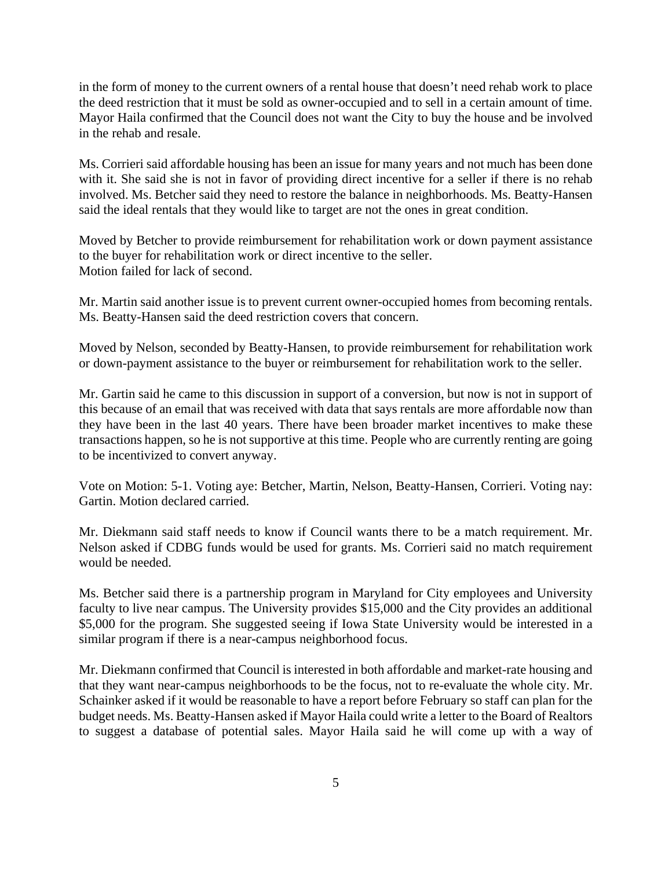in the form of money to the current owners of a rental house that doesn't need rehab work to place the deed restriction that it must be sold as owner-occupied and to sell in a certain amount of time. Mayor Haila confirmed that the Council does not want the City to buy the house and be involved in the rehab and resale.

Ms. Corrieri said affordable housing has been an issue for many years and not much has been done with it. She said she is not in favor of providing direct incentive for a seller if there is no rehab involved. Ms. Betcher said they need to restore the balance in neighborhoods. Ms. Beatty-Hansen said the ideal rentals that they would like to target are not the ones in great condition.

Moved by Betcher to provide reimbursement for rehabilitation work or down payment assistance to the buyer for rehabilitation work or direct incentive to the seller. Motion failed for lack of second.

Mr. Martin said another issue is to prevent current owner-occupied homes from becoming rentals. Ms. Beatty-Hansen said the deed restriction covers that concern.

Moved by Nelson, seconded by Beatty-Hansen, to provide reimbursement for rehabilitation work or down-payment assistance to the buyer or reimbursement for rehabilitation work to the seller.

Mr. Gartin said he came to this discussion in support of a conversion, but now is not in support of this because of an email that was received with data that says rentals are more affordable now than they have been in the last 40 years. There have been broader market incentives to make these transactions happen, so he is not supportive at this time. People who are currently renting are going to be incentivized to convert anyway.

Vote on Motion: 5-1. Voting aye: Betcher, Martin, Nelson, Beatty-Hansen, Corrieri. Voting nay: Gartin. Motion declared carried.

Mr. Diekmann said staff needs to know if Council wants there to be a match requirement. Mr. Nelson asked if CDBG funds would be used for grants. Ms. Corrieri said no match requirement would be needed.

Ms. Betcher said there is a partnership program in Maryland for City employees and University faculty to live near campus. The University provides \$15,000 and the City provides an additional \$5,000 for the program. She suggested seeing if Iowa State University would be interested in a similar program if there is a near-campus neighborhood focus.

Mr. Diekmann confirmed that Council is interested in both affordable and market-rate housing and that they want near-campus neighborhoods to be the focus, not to re-evaluate the whole city. Mr. Schainker asked if it would be reasonable to have a report before February so staff can plan for the budget needs. Ms. Beatty-Hansen asked if Mayor Haila could write a letter to the Board of Realtors to suggest a database of potential sales. Mayor Haila said he will come up with a way of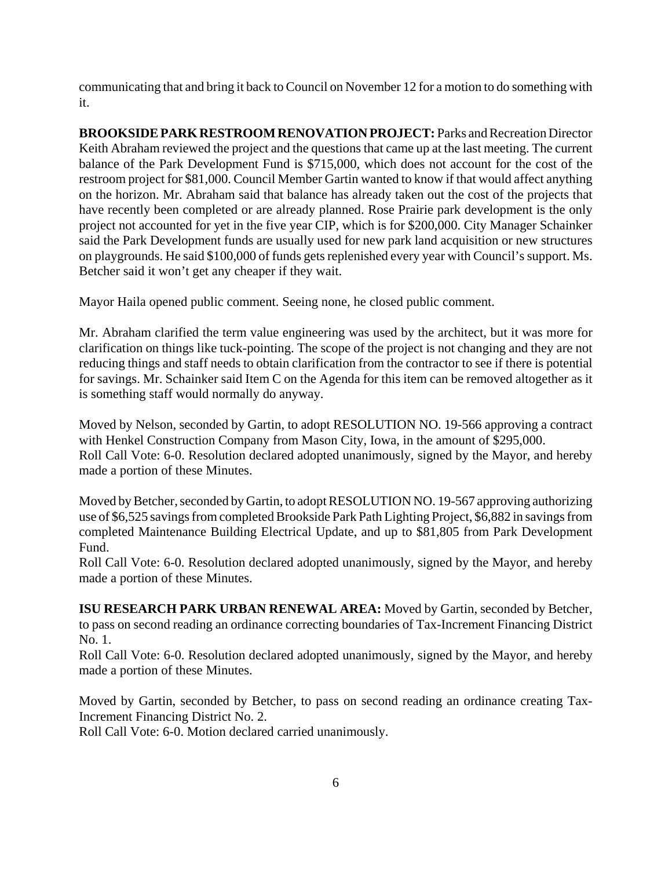communicating that and bring it back to Council on November 12 for a motion to do something with it.

**BROOKSIDE PARK RESTROOM RENOVATION PROJECT:** Parks and Recreation Director Keith Abraham reviewed the project and the questions that came up at the last meeting. The current balance of the Park Development Fund is \$715,000, which does not account for the cost of the restroom project for \$81,000. Council Member Gartin wanted to know if that would affect anything on the horizon. Mr. Abraham said that balance has already taken out the cost of the projects that have recently been completed or are already planned. Rose Prairie park development is the only project not accounted for yet in the five year CIP, which is for \$200,000. City Manager Schainker said the Park Development funds are usually used for new park land acquisition or new structures on playgrounds. He said \$100,000 of funds gets replenished every year with Council's support. Ms. Betcher said it won't get any cheaper if they wait.

Mayor Haila opened public comment. Seeing none, he closed public comment.

Mr. Abraham clarified the term value engineering was used by the architect, but it was more for clarification on things like tuck-pointing. The scope of the project is not changing and they are not reducing things and staff needs to obtain clarification from the contractor to see if there is potential for savings. Mr. Schainker said Item C on the Agenda for this item can be removed altogether as it is something staff would normally do anyway.

Moved by Nelson, seconded by Gartin, to adopt RESOLUTION NO. 19-566 approving a contract with Henkel Construction Company from Mason City, Iowa, in the amount of \$295,000. Roll Call Vote: 6-0. Resolution declared adopted unanimously, signed by the Mayor, and hereby made a portion of these Minutes.

Moved by Betcher, seconded by Gartin, to adopt RESOLUTION NO. 19-567 approving authorizing use of \$6,525 savings from completed Brookside Park Path Lighting Project, \$6,882 in savings from completed Maintenance Building Electrical Update, and up to \$81,805 from Park Development Fund.

Roll Call Vote: 6-0. Resolution declared adopted unanimously, signed by the Mayor, and hereby made a portion of these Minutes.

**ISU RESEARCH PARK URBAN RENEWAL AREA:** Moved by Gartin, seconded by Betcher, to pass on second reading an ordinance correcting boundaries of Tax-Increment Financing District No. 1.

Roll Call Vote: 6-0. Resolution declared adopted unanimously, signed by the Mayor, and hereby made a portion of these Minutes.

Moved by Gartin, seconded by Betcher, to pass on second reading an ordinance creating Tax-Increment Financing District No. 2.

Roll Call Vote: 6-0. Motion declared carried unanimously.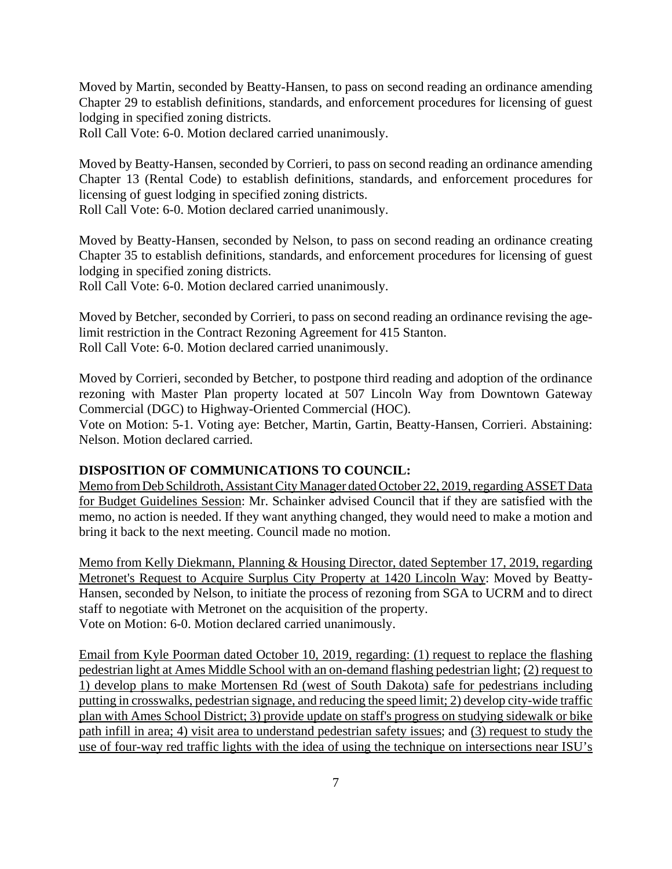Moved by Martin, seconded by Beatty-Hansen, to pass on second reading an ordinance amending Chapter 29 to establish definitions, standards, and enforcement procedures for licensing of guest lodging in specified zoning districts.

Roll Call Vote: 6-0. Motion declared carried unanimously.

Moved by Beatty-Hansen, seconded by Corrieri, to pass on second reading an ordinance amending Chapter 13 (Rental Code) to establish definitions, standards, and enforcement procedures for licensing of guest lodging in specified zoning districts.

Roll Call Vote: 6-0. Motion declared carried unanimously.

Moved by Beatty-Hansen, seconded by Nelson, to pass on second reading an ordinance creating Chapter 35 to establish definitions, standards, and enforcement procedures for licensing of guest lodging in specified zoning districts.

Roll Call Vote: 6-0. Motion declared carried unanimously.

Moved by Betcher, seconded by Corrieri, to pass on second reading an ordinance revising the agelimit restriction in the Contract Rezoning Agreement for 415 Stanton. Roll Call Vote: 6-0. Motion declared carried unanimously.

Moved by Corrieri, seconded by Betcher, to postpone third reading and adoption of the ordinance rezoning with Master Plan property located at 507 Lincoln Way from Downtown Gateway Commercial (DGC) to Highway-Oriented Commercial (HOC).

Vote on Motion: 5-1. Voting aye: Betcher, Martin, Gartin, Beatty-Hansen, Corrieri. Abstaining: Nelson. Motion declared carried.

### **DISPOSITION OF COMMUNICATIONS TO COUNCIL:**

Memo from Deb Schildroth, Assistant City Manager dated October 22, 2019, regarding ASSET Data for Budget Guidelines Session: Mr. Schainker advised Council that if they are satisfied with the memo, no action is needed. If they want anything changed, they would need to make a motion and bring it back to the next meeting. Council made no motion.

Memo from Kelly Diekmann, Planning & Housing Director, dated September 17, 2019, regarding Metronet's Request to Acquire Surplus City Property at 1420 Lincoln Way: Moved by Beatty-Hansen, seconded by Nelson, to initiate the process of rezoning from SGA to UCRM and to direct staff to negotiate with Metronet on the acquisition of the property. Vote on Motion: 6-0. Motion declared carried unanimously.

Email from Kyle Poorman dated October 10, 2019, regarding: (1) request to replace the flashing pedestrian light at Ames Middle School with an on-demand flashing pedestrian light; (2) request to 1) develop plans to make Mortensen Rd (west of South Dakota) safe for pedestrians including putting in crosswalks, pedestrian signage, and reducing the speed limit; 2) develop city-wide traffic plan with Ames School District; 3) provide update on staff's progress on studying sidewalk or bike path infill in area; 4) visit area to understand pedestrian safety issues; and (3) request to study the use of four-way red traffic lights with the idea of using the technique on intersections near ISU's